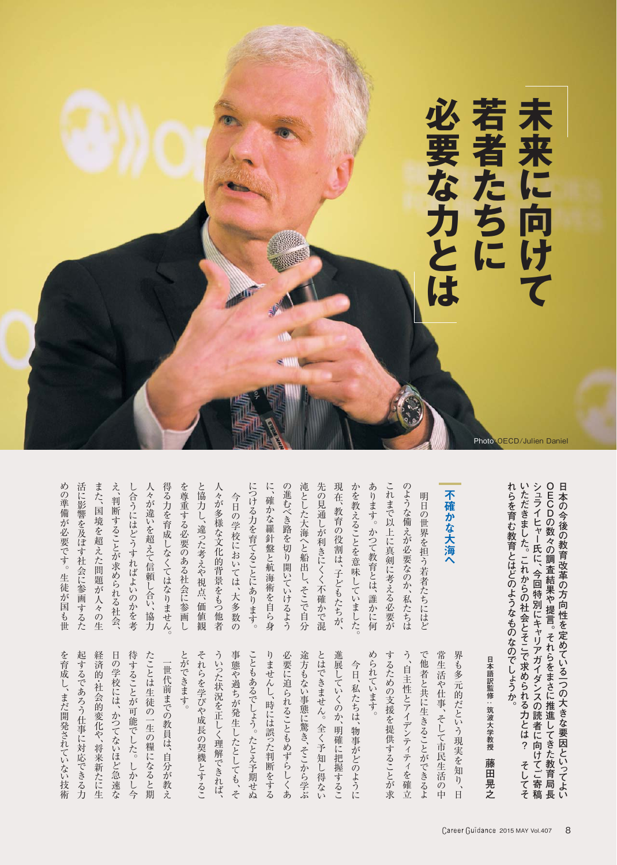

| れらを育む教育とはどのようなものなのでしょうか。<br>いただきました。これからの社会とそこで求められる力とは? そしてそ | シュライヒャー氏に、今回特別にキャリアガイダンスの読者に向けてご寄稿<br>OECDの数々の調査結果や提言。それらをまさに推進してきた教育局長 | 日本の今後の教育改革の方向性を定めている つの大きな要因といってよい |
|---------------------------------------------------------------|-------------------------------------------------------------------------|------------------------------------|
|---------------------------------------------------------------|-------------------------------------------------------------------------|------------------------------------|

## **日本語訳監修:筑波大学教授 筑波大学教授藤田晃之** 藤田晃之

## 不確かな大海へ そうしょう こうしょう こうしょう こうしょう こうしょう こうしゃ アイ・プレート かいこうしょう しょうしょう しゅうしゅう しゅうしゅう しゅうしゅう しゅうしょう しゅうしゅう しゅうしょく

めの準備が必要です。生徒が国も世 活に影響を及ぼす社会に参画するた また、国境を超えた問題が人々の生 え、判断することが求められる社会、 得る力を育成しなくてはなりません を尊重する必要のある社会に参画し につける力を育てることにあります。 に、確かな羅針盤と航海術を自ら身 の進むべき路を切り開いていけるよう 沌とした大海へと船出し、そこで自分 先の見通しが利きにくく不確かで混 現在、教育の役割は、子どもたちが、 あります。かつて教育とは、誰かに何 のような備えが必要なのか、私たちは し合うにはどうすればよいのかを考 人々が違いを超えて信頼し合い、協力 と協力し、違った考えや視点、価値観 人々が多様な文化的背景をもつ他者 かを教えることを意味していました これまで以上に真剣に考える必要が のような備えが必要なのか、 私たちは 法人 こうしょう こうしゅう こうしょう こうしょう こうしょう こうしょう また、 国境を超えた問題が人々の生 それは、 キャンプ キャンプ エンジェン エンジェン しきますようにはないのかです。 人々が違いを超えて信頼し合い、 協力 もちはなりません。 そのある ある ある ある ある ある ある ある ある ある ある ある として こうしゃ こうしゃ こうしゃ こうしゃ こうしゃ こうしゃ ストール ストール・ストール ストール・ストール しゅうしゅ に つける力を育てることにあります。 に、 確かな羅針盤と航海術を自ら身 にんしゃ こうしゃ こうしゃ こうしゃ こうしゃ こうしゃ こうしゃ アクセス 先の見通しが利きにくく不確かで混 かを教えることを意味していました。 あります。 かつ て教育とは、 誰かに何 明日の世界を担う若者たちにはど 今日の学校においては、大多数の 明日の世界を担う若者たちにはど

ある きょうしょう しゅうしゅう しゅうしゅう しゅうしゅう しゅうしゅう しゅうしゅう しゅうしゅう しゅうしゅう しゅうしゅう しゅうしゅう しゅうしゅう

| ゙゙゙ゖ゙                                                                |                 |                  |                   | ぁ                 |                 | し得な<br>$\mathcal{U}$ | 明確に把握するこ     | 今日、私たちは、物事がどのよう<br>に |  | ょ | 一世代前までの教員は、自分が教え<br>しか<br>$l\bar{c}$<br>中<br>生<br>今 |
|----------------------------------------------------------------------|-----------------|------------------|-------------------|-------------------|-----------------|----------------------|--------------|----------------------|--|---|-----------------------------------------------------|
| 待することが可能でした。<br>たことは生徒の一生の糧になると期<br>とができます<br>それらを学びや成長の契機とするこ       | ういった状況を正しく理解できれ | 事態や過ちが発生したとしても、そ | こともあるでしょう。たとえ予期せぬ | りませんし、時には誤った判断をする | 必要に迫られることもめずらしく | 途方もない事態に驚き、そこから学ぶ    | とはできません。全く予知 | 進展していくのか、            |  |   | を育成<br>し、まだ開発されていない技<br>術                           |
|                                                                      |                 |                  |                   |                   |                 |                      |              |                      |  |   | 起するであろう仕事に対応できる力                                    |
|                                                                      |                 |                  |                   |                   |                 |                      |              |                      |  |   | 経済的・社会的変化や、将来新た                                     |
|                                                                      |                 |                  |                   |                   |                 |                      |              |                      |  |   | 日の学校には、かつてないほど急速な                                   |
|                                                                      |                 |                  |                   |                   |                 |                      |              |                      |  |   |                                                     |
|                                                                      |                 |                  |                   |                   |                 |                      |              |                      |  |   |                                                     |
|                                                                      |                 |                  |                   |                   |                 |                      |              |                      |  |   |                                                     |
|                                                                      |                 |                  |                   |                   |                 |                      |              |                      |  |   |                                                     |
| められています。<br>するための支援を提供することが求<br>う、自主性とアイデンティティを確立<br>で他者と共に生きることができる |                 |                  |                   |                   |                 |                      |              |                      |  |   | 常生活や仕事、そして市民生活の                                     |
|                                                                      |                 |                  |                   |                   |                 |                      |              |                      |  |   | 界も多元的だという現実を知り、日                                    |
|                                                                      |                 |                  |                   |                   |                 |                      |              |                      |  |   |                                                     |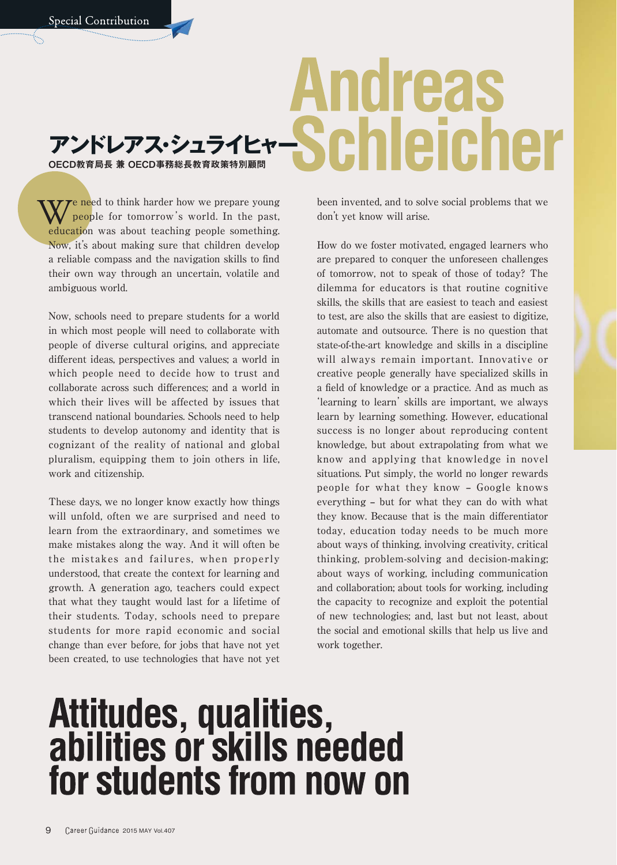### **Andreas** Sch **leicher アンドレアス・シュライヒャー** OECD教育局長 兼 OECD事務総長教育政策特別顧問

Te need to think harder how we prepare young people for tomorrow's world. In the past, education was about teaching people something. Now, it's about making sure that children develop a reliable compass and the navigation skills to find their own way through an uncertain, volatile and ambiguous world.

Now, schools need to prepare students for a world in which most people will need to collaborate with people of diverse cultural origins, and appreciate different ideas, perspectives and values; a world in which people need to decide how to trust and collaborate across such differences; and a world in which their lives will be affected by issues that transcend national boundaries. Schools need to help students to develop autonomy and identity that is cognizant of the reality of national and global pluralism, equipping them to join others in life, work and citizenship.

These days, we no longer know exactly how things will unfold, often we are surprised and need to learn from the extraordinary, and sometimes we make mistakes along the way. And it will often be the mistakes and failures, when properly understood, that create the context for learning and growth. A generation ago, teachers could expect that what they taught would last for a lifetime of their students. Today, schools need to prepare students for more rapid economic and social change than ever before, for jobs that have not yet been created, to use technologies that have not yet

been invented, and to solve social problems that we don't yet know will arise.

How do we foster motivated, engaged learners who are prepared to conquer the unforeseen challenges of tomorrow, not to speak of those of today? The dilemma for educators is that routine cognitive skills, the skills that are easiest to teach and easiest to test, are also the skills that are easiest to digitize, automate and outsource. There is no question that state-of-the-art knowledge and skills in a discipline will always remain important. Innovative or creative people generally have specialized skills in a field of knowledge or a practice. And as much as 'learning to learn' skills are important, we always learn by learning something. However, educational success is no longer about reproducing content knowledge, but about extrapolating from what we know and applying that knowledge in novel situations. Put simply, the world no longer rewards people for what they know ‒ Google knows everything - but for what they can do with what they know. Because that is the main differentiator today, education today needs to be much more about ways of thinking, involving creativity, critical thinking, problem-solving and decision-making; about ways of working, including communication and collaboration; about tools for working, including the capacity to recognize and exploit the potential of new technologies; and, last but not least, about the social and emotional skills that help us live and work together.

# Attitudes, qualities,<br>abilities or skills needed for students from now on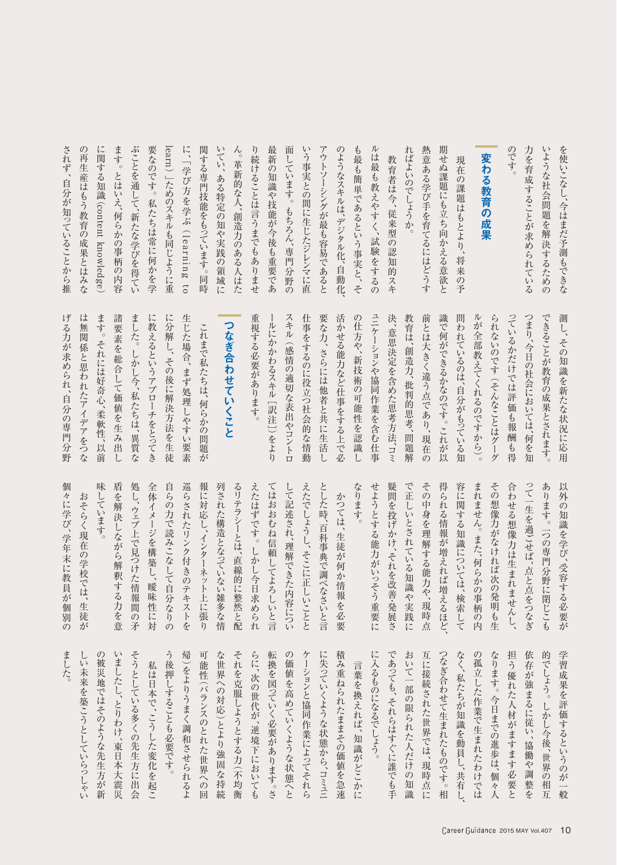のです。 いような社会問題を解決するための 力を育成することが求められている を使いこなし、今はまだ予測もできな 変わる教育の成果 のです。 現在の課題はもとより、将来の予 現在の課題はもとより、 将来の予

ればよいのでしょうか 期せぬ課題にも立ち向かえる意欲と 熱意ある学び手を育てるにはどうす 教育 教育者は今、従来型の認知的スキ

されず、自分が知っていることから推 の再生産はもう教育の成果とはみな ぶことを通して、新たな学びを得てい 要なのです。私たちは常に何かを学 いてい、ある特定の知や実践の領域に ん。革新的な人、創造力のある人はた り続けることは言うまでもありませ 最新の知識や技能が今後も重要であ 面しています。もちろん、専門分野の のようなスキルは、デジタル化、自動化 ルは最も教えやすく、試験をするの に関する知識 (content knowledge) ます。とはいえ、何らかの事柄の内容 learn)」ためのスキルも同じように重 に、「学び方を学ぶ (learning to 関する専門技能をもっています。同時 いう事実との間に生じたジレンマに直 アウトソーシングが最も容易であると も最も簡単であるという事実と、そ いじょう ある 特定の ある 特定の ある きょうかい しゅうしょう かいしゅう あるま あるま あるま あいしゃ あるま あるま あいしゃ あいしゃ あいしゃ いちは マに直する マに直する マに直する マに直する マに直する マに直する マに直する マに直する マに直する マに直する マに直する マに直する マに直する マに直する のある あいしょう あいしょう あいしゅう あいしょう しゅうしゅう しゅうしゅう しゅうしゅう しゅうしゅう しゅうしゅう しゅうしゅう しゅうしゅう しゅうしゅう にほんじゅつ しょうしょう しょうしょう しゅうしょう しゅうしゅう しゅうしゅう しゅうしゅう しゅうしゅう しゅうしゅう しゅうしゅう しゅうしゅう しゅうしゅうしゅう しゅうしゅうしょ ます。 とはいえ、 ついてはいえ、 ついてはいえ、 ついてはいえ ぶことを通して、 新たな学びを得ている 新たな学校 はんしょう あいじょう に、 「学び方を学ぶ ( ん。 革新的な人、 創造力のある人はた りはいません。 アウトソーショングがあると、その他のことを見ると、その他のことを見ると、その他のことを見ると、その他のことを見ると、その他のことを見ると、その他のことを見ると、その他のことを見ると、その他のことを見る もあるという事実と、 その他には、 その他には、 その他には、 その他には、 その他には、 その他には、 その他には、 その他には、 その他には、 その他には、 その他には、 その他には、 その他には、 その他には、 その他には、 その他には、 その他には、 その他には、 その他には、 その他には、 その他には、 その他には、 その他には、 その他には、 その他には、 その他には、 その他には、 その他には、 その他には、 その他には、 そ ルは最も教えやすく、 試験をするの 要なのです。 私たちは常に何かを学 関する専門技能をも っ て います。 同時 最新の はいしゅう はんしゅう かんしゅう かんしゅう かんしゅう かんしゅう かんしゅう かんしゅう かんしゅう かんしゅう かんしゅう かんしゅう かんしゅう かんしゅう かんしゅう かんしゅう 面しています。 もちろん、 専門分野の ) 」 ための スキルも同じように重 content knowledgelearning to

> スキル(感情の適切な表出やコントロ ュニケーションや協同作業を含む仕事  $J\overline{V}$ られないのです (そんなことはグーグ つまり、今日の社会においては、何を知 重視する必要があります。 仕事をするのに役立つ社会的な情動 要な力、さらには他者と共に生活し 活かせる能力など仕事をする上で必 の仕方や、新技術の可能性を認識し 決、意思決定を含めた思考方法、コミ 教育は、創造力、批判的思考、問題解 前とは大きく違う点であり、現在の 識で何ができるかなのです。これが以 問われているのは、自分がもっている知 っているかだけでは評価も報酬も得 できることが教育の成果とされます。 測し、その知識を新たな状況に応用 ールにかかわるスキル [訳注])をより つなぎ合わせていくこと スキル (感情の適切な表出やコ ントロ ュ ニケーシ ョ ンや協同作業を含む仕事 か全部教えてくれるのですから)。 ルが全部教えてくれるのですから) 。 っ ているかだけでは評価も報酬も得 重視する必要があります。 ールにかけるスキル [訳注] ) ともの (の) とりある スキル [訳注] ) をより には こうしょう こうしょう こうしょう こうしょう こうしょう まちには きょうしょう こうしょう こうしょう こうしょう こうしょう こうしょう こうしょう こうしょう こうしょう こうしょう こうしょう こうしょう こうしょう の仕方や、 新技術の可能性を認識し - 「 読者 はいしゃ いちょう はいしゅう はいしゅう はいしゅう 前とは大きく違う点であり、 現在の 測し、 その知識を新たな状況に応用

は げる力が求められ、自分の専門分野 ます。それには好奇心、柔軟性、以前 諸要素を総合して価値を生み出 ました。しかし今、私たちは、異質な に教えるというアプローチをとってき に分解し、その後に解決方法を生徒 生じた場合、まず処理しやすい要素 に無関係と思われたアイデアをつくする こうしゃ こうしゃ こうしゃ かんこうしゃ かんこうしゃ ようし しゅうしょう はながら はない はない はない しゅうしょう 。<br>第一条を全体出して価値を生み出して簡単に生み出している。 ました。 しかしゃ しかしゃ しゅうしゅう しゅうしゅう しゅうしゅう に教えるというアプローチをと っ てき について かいしょう こうしゅう こうしゅう こうしゅう こうしゅう こうしゅう こうしゅう こうしゅう こうしゅう こうしゅう こうしゅう こうしゅう こうしゅう キャンプ きょうしゅう しゅうしゅう しゅうしゅう しゅうしゅう しゅうしゅう 無関係と思われたアイデアをつな これまで私たちは、何らかの問題 これは、 ついかい かいかん かいかん しゅうしょう が

されず、 自分が知っ ていることから推

けいしゃ しゅうしゅう しゅうしゅう しゅうしゅう しゅうしゅう しゅうしゅう しゅうしゅう しゅうしゅう しゅうしゅう しゅうしゅう しゅうしゅう しゅうしゅう

一人に学び、 学年末に教員がのうです。 このことは、 学年末に教員がのうです。 このことは、 学年末に教員がのうです。 このことは、 学年末に教員の学年末に教員の学年末に教員の学年末に教員の学年末に教

個々に学び、学年末に教員が個別の 味しています。 盾を解決しながら解釈する力を意 処し、ウェブ上で見つけた情報間の矛 全体イメージを構築し、曖昧性に対 自らの力で読みこなして自分なりの 巡らされたリンク付きのテキストを 報に対応し、インターネット上に張り 列された構造となっていない雑多な情 るリテラシーとは、直線的に整然と配 てはおおむね信頼してよろしいと言 とした時、百科事典で調べなさいと言 せようとする能力がいっそう重要に 疑問を投げかけ、それを改善・発展さ で正しいとされている知識や実践に その中身を理解する能力や、現時点 得られる情報が増えれば増えるほど、 容に関する知識については、検索して まれません。 また、何らかの事柄の内 その想像力がなければ次の発明も生 合わせる想像力は生まれませんし、 って一生を過ごせば、点と点をつなぎ あります。1つの専門分野に閉じこも 以外の知識を学び、受容する必要が えたはずです。しかし今日求められ して記述され、理解できた内容につい えたでしょうし、そこに正しいことと なります。 いちかん かいしょう しゅうしょう しゅうしゅう しゅうしゅう しゅうしゅう しゅうしゅう しゅうしゅう しゅうしゅう しゅうしゅうしゅう しゅうしゅうしゅうしゅうしゅうしゅうしゅうしゃ 盾を解決しながら解釈する力を意 処し、 ウ ェ ブ上で見つけた情報間の矛 全体イメージを構築し、 曖昧性に対 巡らされたリンク付きのテキストを いい インター・インター インター・インター インター・インター インター・インター インター・インター インター・インター インター・インター インター・インター インター・インター インター・インター インター・インター インター・インター インター・インター インター・インター インター・インター インター・インター インター・インター インター・インター インター・インター インター・インター インター・インター インター・インタ プライン こうしょう こうしょう こうしょう こうしょう こうしょう るリテラシーとは、 直線的に整然と配 えたはずです。 しかし今日求められ にはおおむねにはおおむねにはおおむねにはおおむねにはおおむねにはおおむねにはおおむねにはおおむねにはおおむねにはおおむねにはおおむねにはおおむねにはおおむねにはおおむねには して記述され、 理解できた内容に つ い ようし としては、 百科事典で調べると言う。 なります。 もちはちゃくももものがい ついて こうしょう ない それをおとす ・ それをおとす ・ それをおとす ・ それをおとす ・ それをおとす ・ それをおとす ・ それをおとす ・ キャット で正しいとされている知識や実践に その中身を理解する。 その中身を理解する にっぽん しゅうしょう 得られる情報が増えれば増えるほど、 容に関する知識に つ いては、 検索して まれません。 また、 何らかの事柄の内 もし、それは生まれませんし、それは生まれませんし、それは生まれませんし、それは生まれませんし、それは生まれませんし、それは生まれませんし、それは生まれませんし、それは生まれませんし、それは生まれません おそらく現在の学校では、生徒が かつては、生徒が何か情報を必要 からく きょうしょう しゅうしょう しゅうしゅう しゅうしゅう しゅうしゅう しゅうしゅう かつては、 生徒が何か情報を受けていることを受けていることを受けていることを受けていることを受けていることを受けていることを受けていることを受けていることを受けていることを受けていることを受けていることを受けていることを ました。 いましたし、とりわけ、東日本大震災 う後押しすることも必要です。 帰)をよりうまく調和させられるよ 可能性(バランスのとれた世界への回 それを克服しようとする力(不均衡 らに、次の世代が、逆境下においても  $\mathcal{O}$ ケーションと協同作業によってそれら に失っていくような状態から、コミュニ に入るものになるでしょう であっても、それらはすぐに誰でも手 つなぎ合わせて生まれたものです。相 の孤立した作業で生まれたわけでは 担う優れた人材がますます必要と 依存が強まるに従い、協働や調整を 的でしょう。しかし今後、世界の相 学習成果を評価するというのが しい未来を築こうとしていらっしゃい そうとしている多くの先生方に出会 な世界への対応)とより強固な持続 転換を図っていく必要があります。さ 積み重ねられたままその価値を急速 おいて一部の限られた人だけの知識 互に接続された世界では、現時点に なく、私たちが知識を動員し、共有し なります。今日までの進歩は、個々人 被災地ではそのような先生方が新 の被害者 こうしょう こうしょう こうしょう こうしょう こうしょう こうしょう いましたし、 そりあげ 東日本大震災の 東日本大震災の 東日本大震災の 東日本大震災の あいしん 価値を高めていくような状態へと の価値を高めていくような状態へと ケーシ ョ ンと協同作業によ っ てそれら に失 っ ていくような状態から、 コミ ュ ニ の孤立した作業で生まれたわけでは しい未来を築こうとしていら っ しゃ い 私は日本で、こうした変化を起こ う後押しすることも多くものです。 そうしょう きょうしょう こうしょう こうしょう こうしょう こうしょう こうしょう こうしょう こうしょう こうしょう こうしょう 可能性 (バランスのとれた世界へ の回 な世界へ の対応) とより強固な持続 それを見る力 (不均衡の) このこと こうしょうかい こうしょうかい こうしょうかい こうしょうかい こうしょうかい らに、 次の世代が、 逆境下においても で こくしょう こくしょう こくしょう こくしょう こくしょう こくしょう こくしょう こくしょう 積み重ねられたままその価値を急速 互に接続された世界では、 現時点に なく、 私たちが知識を動員し、 共有し、 しんじゅう しゅうしゅう しゅうしゅう しゅうしゅう しゅうしゅう しゅうしゅう しゅうしゅう しゅうしゅう しゅうしゅう しゅうしゅう しゅうしゅう しゅうしゅうしゅうしゅうしゅうしゅうしゅうしゅうしゅうしゅうしゃ 学習成果を評価するというのが一般 言葉を換えれば、知識がどこかに 私は日本で、 こうした変化を起こ 言葉を読み込み いちのう こうしょう こうしょう こうしょう こうしょう こうしょう こうしょう こうしょう こうしょう こうしょう こうしょう こうしょう こうしょう

一般